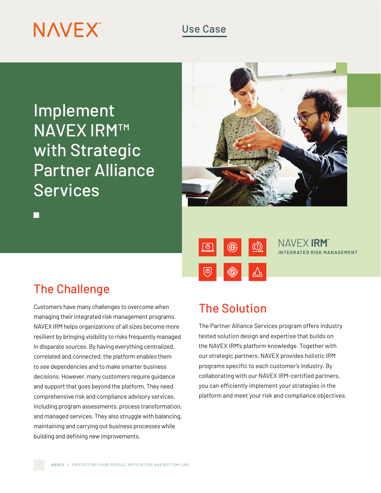# **NAVEX**

### Use Case

Implement NAVEX IRM™ with Strategic Partner Alliance Services



 $\circledS$ 

## The Challenge

Customers have many challenges to overcome when managing their integrated risk management programs. NAVEX IRM helps organizations of all sizes become more resilient by bringing visibility to risks frequently managed in disparate sources. By having everything centralized, correlated and connected, the platform enables them to see dependencies and to make smarter business decisions. However, many customers require guidance and support that goes beyond the platform. They need comprehensive risk and compliance advisory services, including program assessments, process transformation, and managed services. They also struggle with balancing, maintaining and carrying out business processes while building and defining new improvements.

## The Solution

 $\bigoplus$ 

 $\bullet$ 

ල

The Partner Alliance Services program offers industry tested solution design and expertise that builds on the NAVEX IRM's platform knowledge. Together with our strategic partners, NAVEX provides holistic IRM programs specific to each customer's industry. By collaborating with our NAVEX IRM-certified partners, you can efficiently implement your strategies in the platform and meet your risk and compliance objectives.

**INTEGRATED RISK MANAGEMENT**

NAVEX **IRM**"